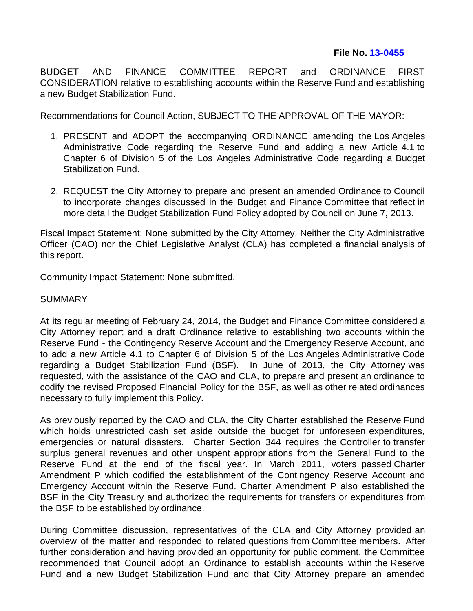## **File No. [13-0455](http://cityclerk.lacity.org/lacityclerkconnect/index.cfm?fa=ccfi.viewrecord&cfnumber=13-0455)**

BUDGET AND FINANCE COMMITTEE REPORT and ORDINANCE FIRST CONSIDERATION relative to establishing accounts within the Reserve Fund and establishing a new Budget Stabilization Fund.

Recommendations for Council Action, SUBJECT TO THE APPROVAL OF THE MAYOR:

- 1. PRESENT and ADOPT the accompanying ORDINANCE amending the Los Angeles Administrative Code regarding the Reserve Fund and adding a new Article 4.1 to Chapter 6 of Division 5 of the Los Angeles Administrative Code regarding a Budget Stabilization Fund.
- 2. REQUEST the City Attorney to prepare and present an amended Ordinance to Council to incorporate changes discussed in the Budget and Finance Committee that reflect in more detail the Budget Stabilization Fund Policy adopted by Council on June 7, 2013.

Fiscal Impact Statement: None submitted by the City Attorney. Neither the City Administrative Officer (CAO) nor the Chief Legislative Analyst (CLA) has completed a financial analysis of this report.

Community Impact Statement: None submitted.

## **SUMMARY**

At its regular meeting of February 24, 2014, the Budget and Finance Committee considered a City Attorney report and a draft Ordinance relative to establishing two accounts within the Reserve Fund - the Contingency Reserve Account and the Emergency Reserve Account, and to add a new Article 4.1 to Chapter 6 of Division 5 of the Los Angeles Administrative Code regarding a Budget Stabilization Fund (BSF). In June of 2013, the City Attorney was requested, with the assistance of the CAO and CLA, to prepare and present an ordinance to codify the revised Proposed Financial Policy for the BSF, as well as other related ordinances necessary to fully implement this Policy.

As previously reported by the CAO and CLA, the City Charter established the Reserve Fund which holds unrestricted cash set aside outside the budget for unforeseen expenditures, emergencies or natural disasters. Charter Section 344 requires the Controller to transfer surplus general revenues and other unspent appropriations from the General Fund to the Reserve Fund at the end of the fiscal year. In March 2011, voters passed Charter Amendment P which codified the establishment of the Contingency Reserve Account and Emergency Account within the Reserve Fund. Charter Amendment P also established the BSF in the City Treasury and authorized the requirements for transfers or expenditures from the BSF to be established by ordinance.

During Committee discussion, representatives of the CLA and City Attorney provided an overview of the matter and responded to related questions from Committee members. After further consideration and having provided an opportunity for public comment, the Committee recommended that Council adopt an Ordinance to establish accounts within the Reserve Fund and a new Budget Stabilization Fund and that City Attorney prepare an amended